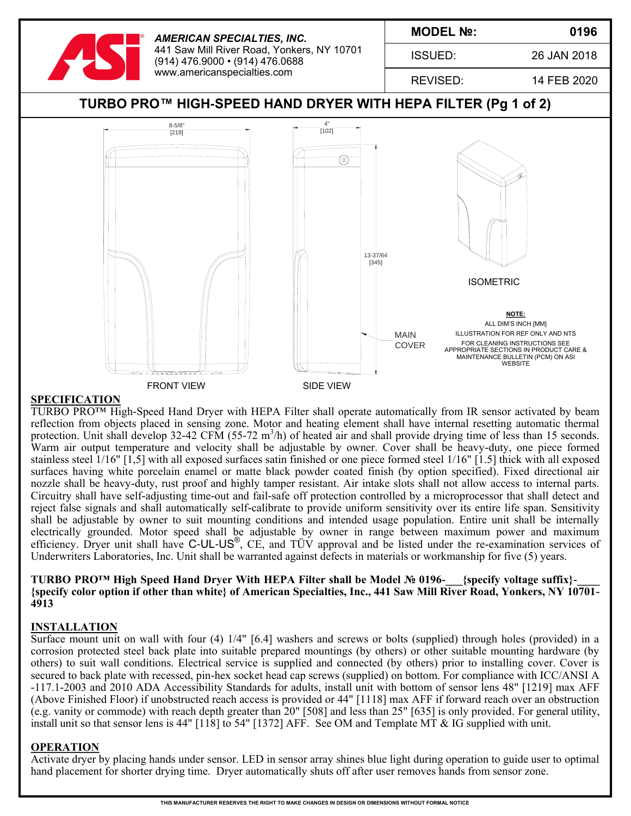

#### **SPECIFICATION**

TURBO PRO<sup>TM</sup> High-Speed Hand Dryer with HEPA Filter shall operate automatically from IR sensor activated by beam reflection from objects placed in sensing zone. Motor and heating element shall have internal resetting automatic thermal protection. Unit shall develop 32-42 CFM (55-72 m<sup>3</sup>/h) of heated air and shall provide drying time of less than 15 seconds. Warm air output temperature and velocity shall be adjustable by owner. Cover shall be heavy-duty, one piece formed stainless steel 1/16" [1,5] with all exposed surfaces satin finished or one piece formed steel 1/16" [1.5] thick with all exposed surfaces having white porcelain enamel or matte black powder coated finish (by option specified). Fixed directional air nozzle shall be heavy-duty, rust proof and highly tamper resistant. Air intake slots shall not allow access to internal parts. Circuitry shall have self-adjusting time-out and fail-safe off protection controlled by a microprocessor that shall detect and reject false signals and shall automatically self-calibrate to provide uniform sensitivity over its entire life span. Sensitivity shall be adjustable by owner to suit mounting conditions and intended usage population. Entire unit shall be internally electrically grounded. Motor speed shall be adjustable by owner in range between maximum power and maximum efficiency. Dryer unit shall have C-UL-US®, CE, and TÜV approval and be listed under the re-examination services of Underwriters Laboratories, Inc. Unit shall be warranted against defects in materials or workmanship for five (5) years.

### TURBO PRO<sup>™</sup> High Speed Hand Dryer With HEPA Filter shall be Model № 0196- {specify voltage suffix}-**{specify color option if other than white} of American Specialties, Inc., 441 Saw Mill River Road, Yonkers, NY 10701- 4913**

#### **INSTALLATION**

Surface mount unit on wall with four (4) 1/4" [6.4] washers and screws or bolts (supplied) through holes (provided) in a corrosion protected steel back plate into suitable prepared mountings (by others) or other suitable mounting hardware (by others) to suit wall conditions. Electrical service is supplied and connected (by others) prior to installing cover. Cover is secured to back plate with recessed, pin-hex socket head cap screws (supplied) on bottom. For compliance with ICC/ANSI A -117.1-2003 and 2010 ADA Accessibility Standards for adults, install unit with bottom of sensor lens 48" [1219] max AFF (Above Finished Floor) if unobstructed reach access is provided or 44" [1118] max AFF if forward reach over an obstruction (e.g. vanity or commode) with reach depth greater than 20" [508] and less than 25" [635] is only provided. For general utility, install unit so that sensor lens is 44" [118] to 54" [1372] AFF. See OM and Template MT & IG supplied with unit.

### **OPERATION**

Activate dryer by placing hands under sensor. LED in sensor array shines blue light during operation to guide user to optimal hand placement for shorter drying time. Dryer automatically shuts off after user removes hands from sensor zone.